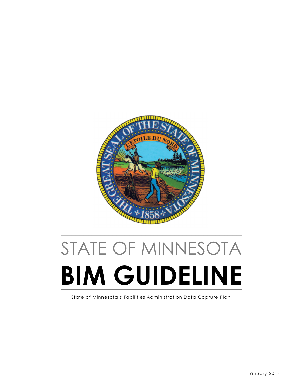

# STATE OF MINNESOTA BIM GUIDELINE

State of Minnesota's Facilities Administration Data Capture Plan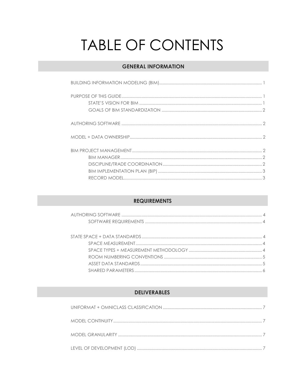## TABLE OF CONTENTS

## **GENERAL INFORMATION**

### **REQUIREMENTS**

## **DELIVERABLES**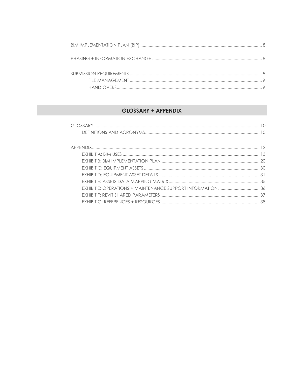## **GLOSSARY + APPENDIX**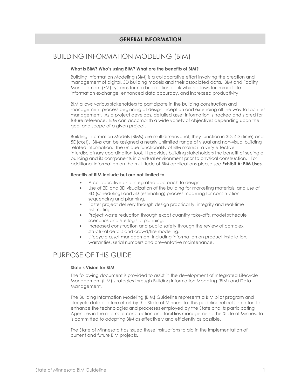#### GENERAL INFORMATION

## BUILDING INFORMATION MODELING (BIM)

#### What is BIM? Who's using BIM? What are the benefits of BIM?

Building Information Modeling (BIM) is a collaborative effort involving the creation and management of digital, 3D building models and their associated data. BIM and Facility Management (FM) systems form a bi-directional link which allows for immediate information exchange, enhanced data accuracy, and increased productivity

BIM allows various stakeholders to participate in the building construction and management process beginning at design inception and extending all the way to facilities management. As a project develops, detailed asset information is tracked and stored for future reference. BIM can accomplish a wide variety of objectives depending upon the goal and scope of a given project.

Building Information Models (BIMs) are multidimensional; they function in 3D, 4D (time) and 5D(cost). BIMs can be assigned a nearly unlimited range of visual and non-visual building related information. The unique functionality of BIM makes it a very effective interdisciplinary coordination tool. It provides building stakeholders the benefit of seeing a building and its components in a virtual environment prior to physical construction. For additional information on the multitude of BIM applications please see **Exhibit A: BIM Uses.** 

#### Benefits of BIM include but are not limited to:

- A collaborative and integrated approach to design.
- Use of 2D and 3D visualization of the building for marketing materials, and use of 4D (scheduling) and 5D (estimating) process modeling for construction sequencing and planning.
- Faster project delivery through design practicality, integrity and real-time estimating
- Project waste reduction through exact quantity take-offs, model schedule scenarios and site logistic planning.
- Increased construction and public safety through the review of complex structural details and crowd/fire modeling.
- Lifecycle asset management including information on product installation, warranties, serial numbers and preventative maintenance.

## PURPOSE OF THIS GUIDE

#### State's Vision for BIM

The following document is provided to assist in the development of Integrated Lifecycle Management (ILM) strategies through Building Information Modeling (BIM) and Data Management.

The Building Information Modeling (BIM) Guideline represents a BIM pilot program and lifecycle data capture effort by the State of Minnesota. This guideline reflects an effort to enhance the technologies and processes employed by the State and its participating Agencies in the realms of construction and facilities management. The State of Minnesota is committed to adopting BIM as effectively and efficiently as possible.

The State of Minnesota has issued these instructions to aid in the implementation of current and future BIM projects.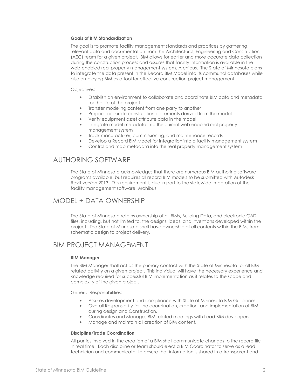#### Goals of BIM Standardization

The goal is to promote facility management standards and practices by gathering relevant data and documentation from the Architectural, Engineering and Construction (AEC) team for a given project. BIM allows for earlier and more accurate data collection during the construction process and assures that facility information is available in the web-enabled real property management system, Archibus. The State of Minnesota plans to integrate the data present in the Record BIM Model into its communal databases while also employing BIM as a tool for effective construction project management.

Objectives:

- Establish an environment to collaborate and coordinate BIM data and metadata for the life of the project.
- Transfer modeling content from one party to another
- Prepare accurate construction documents derived from the model
- Verify equipment asset attribute data in the model
- Integrate model metadata into the current web-enabled real property management system
- Track manufacturer, commissioning, and maintenance records
- Develop a Record BIM Model for integration into a facility management system
- Control and map metadata into the real property management system

## AUTHORING SOFTWARE

The State of Minnesota acknowledges that there are numerous BIM authoring software programs available, but requires all record BIM models to be submitted with Autodesk Revit version 2013. This requirement is due in part to the statewide integration of the facility management software, Archibus.

## MODEL + DATA OWNERSHIP

The State of Minnesota retains ownership of all BIMs, Building Data, and electronic CAD files, including, but not limited to, the designs, ideas, and inventions developed within the project. The State of Minnesota shall have ownership of all contents within the BIMs from schematic design to project delivery.

## BIM PROJECT MANAGEMENT

#### BIM Manager

The BIM Manager shall act as the primary contact with the State of Minnesota for all BIM related activity on a given project. This individual will have the necessary experience and knowledge required for successful BIM implementation as it relates to the scope and complexity of the given project.

General Responsibilities:

- Assures development and compliance with State of Minnesota BIM Guidelines.
- Overall Responsibility for the coordination, creation, and implementation of BIM during design and Construction.
- Coordinates and Manages BIM related meetings with Lead BIM developers.
- Manage and maintain all creation of BIM content.

#### Discipline/Trade Coordination

All parties involved in the creation of a BIM shall communicate changes to the record file in real time. Each discipline or team should elect a BIM Coordinator to serve as a lead technician and communicator to ensure that information is shared in a transparent and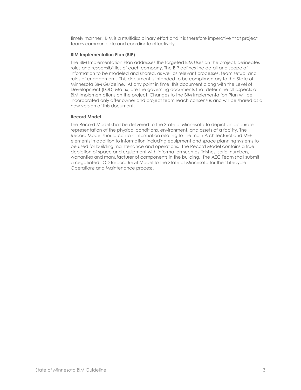timely manner. BIM is a multidisciplinary effort and it is therefore imperative that project teams communicate and coordinate effectively.

#### BIM Implementation Plan (BIP)

The BIM Implementation Plan addresses the targeted BIM Uses on the project, delineates roles and responsibilities of each company. The BIP defines the detail and scope of information to be modeled and shared, as well as relevant processes, team setup, and rules of engagement. This document is intended to be complimentary to the State of Minnesota BIM Guideline. At any point in time, this document along with the Level of Development (LOD) Matrix, are the governing documents that determine all aspects of BIM Implementations on the project. Changes to the BIM Implementation Plan will be incorporated only after owner and project team reach consensus and will be shared as a new version of this document.

#### Record Model

The Record Model shall be delivered to the State of Minnesota to depict an accurate representation of the physical conditions, environment, and assets of a facility. The Record Model should contain information relating to the main Architectural and MEP elements in addition to information including equipment and space planning systems to be used for building maintenance and operations. The Record Model contains a true depiction of space and equipment with information such as finishes, serial numbers, warranties and manufacturer of components in the building. The AEC Team shall submit a negotiated LOD Record Revit Model to the State of Minnesota for their Lifecycle Operations and Maintenance process.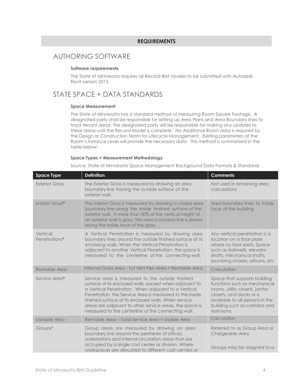#### REQUIREMENTS

## AUTHORING SOFTWARE

#### Software requirements

The State of Minnesota requires all Record BIM models to be submitted with Autodesk Revit version 2013.

## STATE SPACE + DATA STANDARDS

#### Space Measurement

The State of Minnesota has a standard method of measuring Room Square Footage. A designated party shall be responsible for setting up Area Plans and Area Boundary lines to track tenant areas. The designated party will be responsible for making any updates to these areas until the Record Model is complete. No Additional Room data is required by the Design or Construction Team for Lifecycle Management. Existing parameters at the Room's Instance Level will provide the necessary data. This method is summarized in the table below:

#### Space Types + Measurement Methodology

Source: State of Minnesota Space Management Background Data Formats & Standards

| <b>Space Type</b>         | <b>Definition</b>                                                                                                                                                                                                                                                                                                                                                                                     | <b>Comments</b>                                                                                                                                                                                               |
|---------------------------|-------------------------------------------------------------------------------------------------------------------------------------------------------------------------------------------------------------------------------------------------------------------------------------------------------------------------------------------------------------------------------------------------------|---------------------------------------------------------------------------------------------------------------------------------------------------------------------------------------------------------------|
| <b>Exterior Gross</b>     | The Exterior Gross is measured by drawing an area<br>boundary line tracing the outside surface of the<br>exterior wall.                                                                                                                                                                                                                                                                               | Not used in remaining area<br>calculations                                                                                                                                                                    |
| Interior Gross*           | The Interior Gross is measured by drawing a closed area<br>boundary line along the inside finished surface of the<br>exterior wall. If more than 50% of the vertical height of<br>an exterior wall is glass, the area boundary line is drawn<br>along the inside face of the glass.                                                                                                                   | Area boundary lines to inside<br>face of the building                                                                                                                                                         |
| Vertical<br>Penetrations* | A Vertical Penetration is measured by drawing area<br>boundary lines around the outside finished surface of its<br>enclosing walls. When the Vertical Penetration is<br>adjacent to another Vertical Penetration, the space is<br>measured to the centerline of the connecting wall.                                                                                                                  | Any vertical penetration is a<br>location on a floor plate<br>where no floor exists. Space<br>such as stairwells, elevator<br>shafts, mechanical shafts,<br>plumbing chases, atriums, etc                     |
| Rentable Area             | Internal Gross Area - Tot Vert Pen Area = Rentable Area                                                                                                                                                                                                                                                                                                                                               | Calculation                                                                                                                                                                                                   |
| Service Area*             | Service area is measured to the outside finished<br>surface of its enclosed walls, except when adjacent to<br>a Vertical Penetration. When adjacent to a Vertical<br>Penetration, the Service Area is measured to the inside<br>finished surface of its enclosed walls. When service<br>areas are adjacent to other service areas, the space is<br>measured to the centerline of the connecting wall. | Space that supports building<br>functions such as mechanical<br>rooms, utility closets, janitor<br>closets, and docks or is<br>available to all persons in the<br>building such as corridors and<br>restrooms |
| Useable Area              | Rentable Area - Total Service Area = Usable Area                                                                                                                                                                                                                                                                                                                                                      | Calculation                                                                                                                                                                                                   |
| Groups*                   | Group areas are measured by drawing an area<br>boundary line around the perimeter of offices,<br>workstations and internal circulation areas that are<br>occupied by a single cost center or division. Where<br>workspaces are allocated to different cost centers or                                                                                                                                 | Referred to as Group Area or<br>Chargeable Area<br>Groups may be assigned to a                                                                                                                                |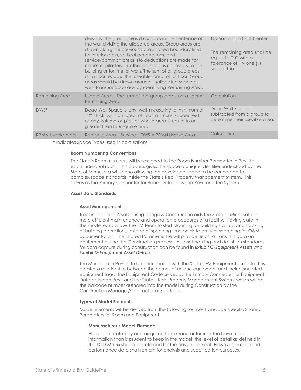|                         | divisions, the group line is drawn down the centerline of<br>the wall dividing the allocated areas. Group areas are<br>drawn along the previously drawn area boundary lines<br>for interior gross, vertical penetrations, and<br>service/common areas. No deductions are made for<br>columns, pilasters, or other projections necessary to the<br>building or for interior walls. The sum of all group areas<br>on a floor equals the useable area of a floor. Group<br>areas should be drawn around unallocated space as<br>well, to insure accuracy by identifying Remaining Area. | Division and a Cost Center<br>The remaining area shall be<br>equal to "0" with a<br>tolerance of +/- one (1)<br>square foot. |
|-------------------------|--------------------------------------------------------------------------------------------------------------------------------------------------------------------------------------------------------------------------------------------------------------------------------------------------------------------------------------------------------------------------------------------------------------------------------------------------------------------------------------------------------------------------------------------------------------------------------------|------------------------------------------------------------------------------------------------------------------------------|
| Remaining Area          | Usable Area - The sum of the group areas on a floor =<br><b>Remaining Area</b>                                                                                                                                                                                                                                                                                                                                                                                                                                                                                                       | Calculation                                                                                                                  |
| $DWS^*$                 | Dead Wall Space is any wall measuring a minimum of<br>12" thick with an area of four or more square feet<br>or any column or pilaster whose area is equal to or<br>greater than four square feet.                                                                                                                                                                                                                                                                                                                                                                                    | Dead Wall Space is<br>subtracted from a group to<br>determine their useable area.                                            |
| <b>RPMN Usable Area</b> | Rentable Area - Service - DWS = RPMN Usable Area                                                                                                                                                                                                                                                                                                                                                                                                                                                                                                                                     | Calculation                                                                                                                  |

\* Indicates Space Types used in calculations

#### Room Numbering Conventions

The State's Room numbers will be assigned to the Room Number Parameter in Revit for each individual room. This process gives the space a Unique Identifier understood by the State of Minnesota while also allowing the developed space to be connected to complex space standards inside the State's Real Property Management System. This serves as the Primary Connector for Room Data between Revit and the System.

#### Asset Data Standards

#### Asset Management

Tracking specific Assets during Design & Construction aids the State of Minnesota in more efficient maintenance and operation procedures of a facility. Having data in the model early allows the FM team to start planning for building start up and tracking of building operations, instead of spending time on data entry or searching for O&M documentation. The Shared Parameter file will provide fields to track this data on equipment during the Construction process. All asset naming and definition standards for data capture during construction can be found in **Exhibit C-Equipment Assets** and Exhibit D-Equipment Asset Details.

The Mark field in Revit is to be coordinated with the State's FM Equipment Use field. This creates a relationship between the names of unique equipment and their associated equipment tags. The Equipment Code serves as the Primary Connecter for Equipment Data between Revit and the State's Real Property Management System, which will be the barcode number authored into the model during Construction by the Construction Manager/Contractor or Sub-trade.

#### Types of Model Elements

Model elements will be derived from the following sources to include specific Shared Parameters for Room and Equipment:

#### Manufacturer's Model Elements

 Elements created by and acquired from manufacturers often have more information than is prudent to keep in the model; the level of detail as defined in the LOD Matrix should be retained for the design element. However, embedded performance data shall remain for analysis and specification purposes.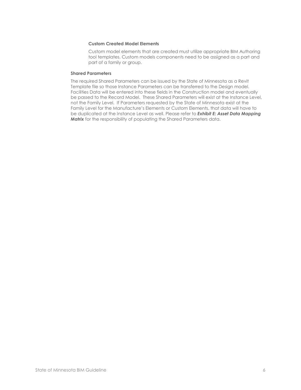#### Custom Created Model Elements

 Custom model elements that are created must utilize appropriate BIM Authoring tool templates. Custom models components need to be assigned as a part and part of a family or group.

#### Shared Parameters

The required Shared Parameters can be issued by the State of Minnesota as a Revit Template file so those Instance Parameters can be transferred to the Design model. Facilities Data will be entered into these fields in the Construction model and eventually be passed to the Record Model. These Shared Parameters will exist at the Instance Level, not the Family Level. If Parameters requested by the State of Minnesota exist at the Family Level for the Manufacture's Elements or Custom Elements, that data will have to be duplicated at the Instance Level as well. Please refer to Exhibit E: Asset Data Mapping Matrix for the responsibility of populating the Shared Parameters data.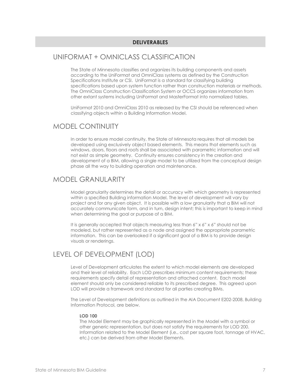#### **DELIVERABLES**

## UNIFORMAT + OMNICLASS CLASSIFICATION

The State of Minnesota classifies and organizes its building components and assets according to the UniFormat and OmniClass systems as defined by the Construction Specifications Institute or CSI. UniFormat is a standard for classifying building specifications based upon system function rather than construction materials or methods. The OmniClass Construction Classification System or OCCS organizes information from other extant systems including UniFormat and MasterFormat into normalized tables.

UniFormat 2010 and OmniClass 2010 as released by the CSI should be referenced when classifying objects within a Building Information Model.

## MODEL CONTINUITY

In order to ensure model continuity, the State of Minnesota requires that all models be developed using exclusively object based elements. This means that elements such as windows, doors, floors and roofs shall be associated with parametric information and will not exist as simple geometry. Continuity ensures consistency in the creation and development of a BIM, allowing a single model to be utilized from the conceptual design phase all the way to building operation and maintenance.

## MODEL GRANULARITY

Model granularity determines the detail or accuracy with which geometry is represented within a specified Building information Model. The level of development will vary by project and for any given object. It is possible with a low granularity that a BIM will not accurately communicate form, and in turn, design intent; this is important to keep in mind when determining the goal or purpose of a BIM.

It is generally accepted that objects measuring less than 6" x 6" x 6" should not be modeled, but rather represented as a node and assigned the appropriate parametric information. This can be overlooked if a significant goal of a BIM is to provide design visuals or renderings.

## LEVEL OF DEVELOPMENT (LOD)

Level of Development articulates the extent to which model elements are developed and their level of reliability. Each LOD prescribes minimum content requirements; these requirements specify detail of representation and attached content. Each model element should only be considered reliable to its prescribed degree. This agreed upon LOD will provide a framework and standard for all parties creating BIMs.

The Level of Development definitions as outlined in the AIA Document E202-2008, Building Information Protocol, are below.

#### LOD 100

The Model Element may be graphically represented in the Model with a symbol or other generic representation, but does not satisfy the requirements for LOD 200. Information related to the Model Element (i.e., cost per square foot, tonnage of HVAC, etc.) can be derived from other Model Elements.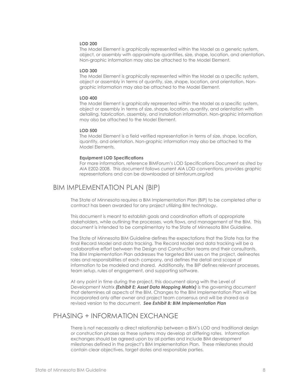#### LOD 200

The Model Element is graphically represented within the Model as a generic system, object, or assembly with approximate quantities, size, shape, location, and orientation. Non-graphic information may also be attached to the Model Element.

#### LOD 300

The Model Element is graphically represented within the Model as a specific system, object or assembly in terms of quantity, size, shape, location, and orientation. Nongraphic information may also be attached to the Model Element.

#### LOD 400

The Model Element is graphically represented within the Model as a specific system, object or assembly in terms of size, shape, location, quantity, and orientation with detailing, fabrication, assembly, and installation information. Non-graphic information may also be attached to the Model Element.

#### LOD 500

The Model Element is a field verified representation in terms of size, shape, location, quantity, and orientation. Non-graphic information may also be attached to the Model Elements.

#### Equipment LOD Specifications

For more information, reference BIMForum's LOD Specifications Document as sited by AIA E202-2008. This document follows current AIA LOD conventions, provides graphic representations and can be downloaded at bimforum.org/lod

## BIM IMPLEMENTATION PLAN (BIP)

The State of Minnesota requires a BIM Implementation Plan (BIP) to be completed after a contract has been awarded for any project utilizing BIM technology.

This document is meant to establish goals and coordination efforts of appropriate stakeholders, while outlining the processes, work flows, and management of the BIM. This document is intended to be complimentary to the State of Minnesota BIM Guideline.

The State of Minnesota BIM Guideline defines the expectations that the State has for the final Record Model and data tracking. The Record Model and data tracking will be a collaborative effort between the Design and Construction teams and their consultants. The BIM Implementation Plan addresses the targeted BIM uses on the project, delineates roles and responsibilities of each company, and defines the detail and scope of information to be modeled and shared. Additionally, the BIP defines relevant processes, team setup, rules of engagement, and supporting software.

At any point in time during the project, this document along with the Level of Development Matrix (Exhibit E: Asset Data Mapping Matrix) is the governing document that determines all aspects of the BIM. Changes to the BIM Implementation Plan will be incorporated only after owner and project team consensus and will be shared as a revised version to the document. See Exhibit B: BIM Implementation Plan

## PHASING + INFORMATION EXCHANGE

There is not necessarily a direct relationship between a BIM's LOD and traditional design or construction phases as these systems may develop at differing rates. Information exchanges should be agreed upon by all parties and include BIM development milestones defined in the project's BIM Implementation Plan. These milestones should contain clear objectives, target dates and responsible parties.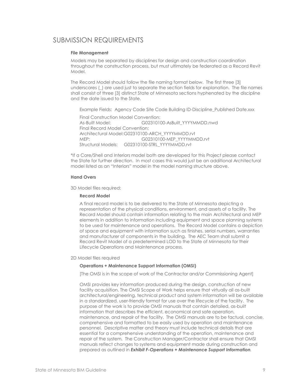## SUBMISSION REQUIREMENTS

#### File Management

Models may be separated by disciplines for design and construction coordination throughout the construction process, but must ultimately be federated as a Record Revit Model.

The Record Model should follow the file naming format below. The first three [3] underscores (\_) are used just to separate the section fields for explanation. The file names shall consist of three [3] distinct State of Minnesota sections hyphenated by the discipline and the date issued to the State.

Example Fields: Agency Code Site Code Building ID-Discipline\_Published Date.xxx

 Final Construction Model Convention: As-Built Model: G02310100-AsBuilt\_YYYYMMDD.nwd Final Record Model Convention: Architectural Model: G02310100-ARCH\_YYYYMMDD.rvt MEP: G02310100-MEP\_YYYYMMDD.rvt Structural Models: G02310100-STRL\_YYYYMMDD.rvt

\*If a Core/Shell and Interiors model both are developed for this Project please contact the State for further direction. In most cases this would just be an additional Architectural model listed as an "Interiors" model in the model naming structure above.

#### Hand Overs

3D Model files required:

#### Record Model

A final record model is to be delivered to the State of Minnesota depicting a representation of the physical conditions, environment, and assets of a facility. The Record Model should contain information relating to the main Architectural and MEP elements in addition to information including equipment and space planning systems to be used for maintenance and operations. The Record Model contains a depiction of space and equipment with information such as finishes, serial numbers, warranties and manufacturer of components in the building. The AEC Team shall submit a Record Revit Model of a predetermined LOD to the State of Minnesota for their Lifecycle Operations and Maintenance process.

#### 2D Model files required

#### Operations + Maintenance Support Information (OMSI)

[The OMSI is in the scope of work of the Contractor and/or Commissioning Agent]

OMSI provides key information produced during the design, construction of new facility acquisition. The OMSI Scope of Work helps ensure that virtually all as-built architectural/engineering, technical product and system information will be available in a standardized, user-friendly format for use over the lifecycle of the facility. The purpose of the work is to provide OMSI manuals that contain detailed, as-built information that describes the efficient, economical and safe operation, maintenance, and repair of the facility. The OMSI manuals are to be factual, concise, comprehensive and formatted to be easily used by operation and maintenance personnel. Descriptive matter and theory must include technical details that are essential for a comprehensive understanding of the operation, maintenance and repair of the system. The Construction Manager/Contractor shall ensure that OMSI manuals reflect changes to systems and equipment made during construction and prepared as outlined in Exhibit F-Operations + Maintenance Support Information.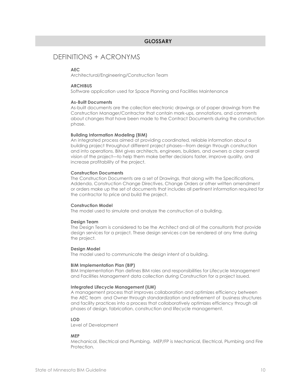#### GLOSSARY

## DEFINITIONS + ACRONYMS

#### AEC

Architectural/Engineering/Construction Team

#### **ARCHIBUS**

Software application used for Space Planning and Facilities Maintenance

#### As-Built Documents

As-built documents are the collection electronic drawings or of paper drawings from the Construction Manager/Contractor that contain mark-ups, annotations, and comments about changes that have been made to the Contract Documents during the construction phase.

#### Building Information Modeling (BIM)

An integrated process aimed at providing coordinated, reliable information about a building project throughout different project phases—from design through construction and into operations. BIM gives architects, engineers, builders, and owners a clear overall vision of the project—to help them make better decisions faster, improve quality, and increase profitability of the project.

#### Construction Documents

The Construction Documents are a set of Drawings, that along with the Specifications, Addenda, Construction Change Directives, Change Orders or other written amendment or orders make up the set of documents that includes all pertinent information required for the contractor to price and build the project.

#### Construction Model

The model used to simulate and analyze the construction of a building.

#### Design Team

The Design Team is considered to be the Architect and all of the consultants that provide design services for a project. These design services can be rendered at any time during the project.

#### Design Model

The model used to communicate the design intent of a building.

#### BIM Implementation Plan (BIP)

BIM Implementation Plan defines BIM roles and responsibilities for Lifecycle Management and Facilities Management data collection during Construction for a project issued.

#### Integrated Lifecycle Management (ILM)

A management process that improves collaboration and optimizes efficiency between the AEC team and Owner through standardization and refinement of business structures and facility practices into a process that collaboratively optimizes efficiency through all phases of design, fabrication, construction and lifecycle management.

#### LOD

Level of Development

#### MEP

Mechanical, Electrical and Plumbing. MEP/FP is Mechanical, Electrical, Plumbing and Fire Protection.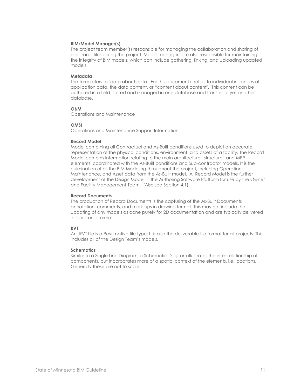#### BIM/Model Manager(s)

The project team member(s) responsible for managing the collaboration and sharing of electronic files during the project. Model managers are also responsible for maintaining the integrity of BIM models, which can include gathering, linking, and uploading updated models.

#### **Metadata**

The term refers to "data about data". For this document it refers to individual instances of application data, the data content, or "content about content". This content can be authored in a field, stored and managed in one database and transfer to yet another database.

#### O&M

Operations and Maintenance

#### OMSI

Operations and Maintenance Support Information

#### Record Model

Model containing all Contractual and As-Built conditions used to depict an accurate representation of the physical conditions, environment, and assets of a facility. The Record Model contains information relating to the main architectural, structural, and MEP elements, coordinated with the As-Built conditions and Sub-contractor models. It is the culmination of all the BIM Modeling throughout the project, including Operation, Maintenance, and Asset data from the As-Built model. A Record Model is the further development of the Design Model in the Authoring Software Platform for use by the Owner and Facility Management Team. (Also see Section 4.1)

#### Record Documents

The production of Record Documents is the capturing of the As-Built Documents annotation, comments, and mark-ups in drawing format. This may not include the updating of any models as done purely for 2D documentation and are typically delivered in electronic format.

#### RVT

An .RVT file is a Revit native file type. It is also the deliverable file format for all projects. This includes all of the Design Team's models.

#### **Schematics**

Similar to a Single Line Diagram, a Schematic Diagram illustrates the inter-relationship of components, but incorporates more of a spatial context of the elements, i.e. locations. Generally these are not to scale.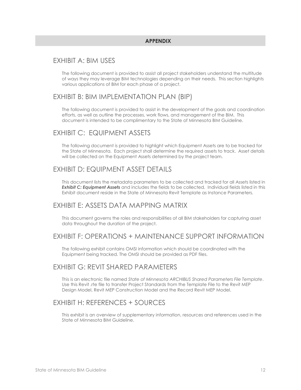## EXHIBIT A: BIM USES

The following document is provided to assist all project stakeholders understand the multitude of ways they may leverage BIM technologies depending on their needs. This section highlights various applications of BIM for each phase of a project.

## EXHIBIT B: BIM IMPLEMENTATION PLAN (BIP)

The following document is provided to assist in the development of the goals and coordination efforts, as well as outline the processes, work flows, and management of the BIM. This document is intended to be complimentary to the State of Minnesota BIM Guideline.

## EXHIBIT C: EQUIPMENT ASSETS

The following document is provided to highlight which Equipment Assets are to be tracked for the State of Minnesota. Each project shall determine the required assets to track. Asset details will be collected on the Equipment Assets determined by the project team.

## EXHIBIT D: EQUIPMENT ASSET DETAILS

This document lists the metadata parameters to be collected and tracked for all Assets listed in **Exhibit C: Equipment Assets** and includes the fields to be collected. Individual fields listed in this Exhibit document reside in the State of Minnesota Revit Template as Instance Parameters.

## EXHIBIT E: ASSETS DATA MAPPING MATRIX

This document governs the roles and responsibilities of all BIM stakeholders for capturing asset data throughout the duration of the project.

## EXHIBIT F: OPERATIONS + MAINTENANCE SUPPORT INFORMATION

The following exhibit contains OMSI information which should be coordinated with the Equipment being tracked. The OMSI should be provided as PDF files.

## EXHIBIT G: REVIT SHARED PARAMETERS

This is an electronic file named State of Minnesota ARCHIBUS Shared Parameters File Template. Use this Revit .rte file to transfer Project Standards from the Template File to the Revit MEP Design Model, Revit MEP Construction Model and the Record Revit MEP Model.

## EXHIBIT H: REFERENCES + SOURCES

This exhibit is an overview of supplementary information, resources and references used in the State of Minnesota BIM Guideline.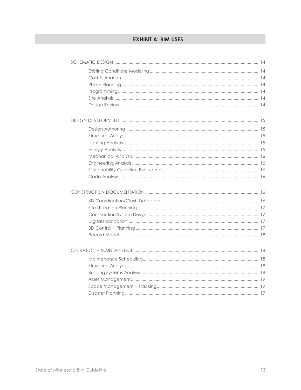## **EXHIBIT A: BIM USES**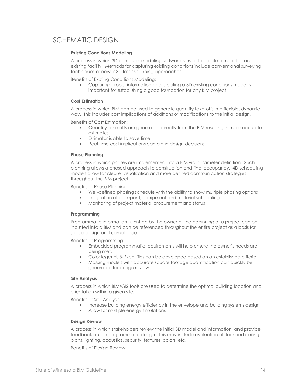## SCHEMATIC DESIGN

#### Existing Conditions Modeling

A process in which 3D computer modeling software is used to create a model of an existing facility. Methods for capturing existing conditions include conventional surveying techniques or newer 3D laser scanning approaches.

Benefits of Existing Conditions Modeling:

• Capturing proper information and creating a 3D existing conditions model is important for establishing a good foundation for any BIM project.

#### Cost Estimation

A process in which BIM can be used to generate quantity take-offs in a flexible, dynamic way. This includes cost implications of additions or modifications to the initial design.

Benefits of Cost Estimation:

- Quantity take-offs are generated directly from the BIM resulting in more accurate estimates
- Estimator is able to save time
- Real-time cost implications can aid in design decisions

#### Phase Planning

A process in which phases are implemented into a BIM via parameter definition. Such planning allows a phased approach to construction and final occupancy. 4D scheduling models allow for clearer visualization and more defined communication strategies throughout the BIM project.

Benefits of Phase Planning:

- Well-defined phasing schedule with the ability to show multiple phasing options
- Integration of occupant, equipment and material scheduling
- Monitoring of project material procurement and status

#### Programming

Programmatic information furnished by the owner at the beginning of a project can be inputted into a BIM and can be referenced throughout the entire project as a basis for space design and compliance.

Benefits of Programming:

- Embedded programmatic requirements will help ensure the owner's needs are being met.
- Color legends & Excel files can be developed based on an established criteria
- Massing models with accurate square footage quantification can quickly be generated for design review

#### Site Analysis

A process in which BIM/GIS tools are used to determine the optimal building location and orientation within a given site.

Benefits of Site Analysis:

- Increase building energy efficiency in the envelope and building systems design
- Allow for multiple energy simulations

#### Design Review

A process in which stakeholders review the initial 3D model and information, and provide feedback on the programmatic design. This may include evaluation of floor and ceiling plans, lighting, acoustics, security, textures, colors, etc.

Benefits of Design Review: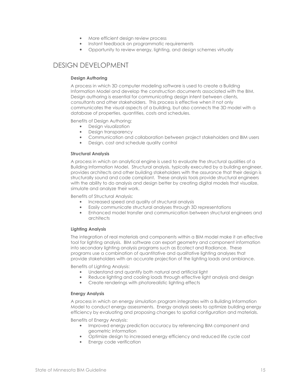- More efficient design review process
- Instant feedback on programmatic requirements
- Opportunity to review energy, lighting, and design schemes virtually

## DESIGN DEVELOPMENT

#### Design Authoring

A process in which 3D computer modeling software is used to create a Building Information Model and develop the construction documents associated with the BIM. Design authoring is essential for communicating design intent between clients, consultants and other stakeholders. This process is effective when it not only communicates the visual aspects of a building, but also connects the 3D model with a database of properties, quantities, costs and schedules.

Benefits of Design Authoring:

- Design visualization
- Design transparency
- Communication and collaboration between project stakeholders and BIM users
- Design, cost and schedule quality control

#### Structural Analysis

A process in which an analytical engine is used to evaluate the structural qualities of a Building Information Model. Structural analysis, typically executed by a building engineer, provides architects and other building stakeholders with the assurance that their design is structurally sound and code compliant. These analysis tools provide structural engineers with the ability to do analysis and design better by creating digital models that visualize, simulate and analyze their work.

Benefits of Structural Analysis:

- Increased speed and quality of structural analysis
- Easily communicate structural analyses through 3D representations
- Enhanced model transfer and communication between structural engineers and architects

#### Lighting Analysis

The integration of real materials and components within a BIM model make it an effective tool for lighting analysis. BIM software can export geometry and component information into secondary lighting analysis programs such as Ecotect and Radiance. These programs use a combination of quantitative and qualitative lighting analyses that provide stakeholders with an accurate projection of the lighting loads and ambiance.

Benefits of Lighting Analysis:

- Understand and quantify both natural and artificial light
- Reduce lighting and cooling loads through effective light analysis and design
- Create renderings with photorealistic lighting effects

#### Energy Analysis

A process in which an energy simulation program integrates with a Building Information Model to conduct energy assessments. Energy analysis seeks to optimize building energy efficiency by evaluating and proposing changes to spatial configuration and materials.

Benefits of Energy Analysis:

- Improved energy prediction accuracy by referencing BIM component and geometric information
- Optimize design to increased energy efficiency and reduced life cycle cost
- Energy code verification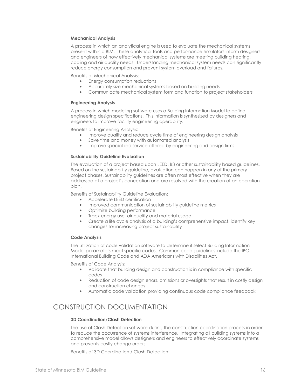#### Mechanical Analysis

A process in which an analytical engine is used to evaluate the mechanical systems present within a BIM. These analytical tools and performance simulators inform designers and engineers of how effectively mechanical systems are meeting building heating, cooling and air quality needs. Understanding mechanical system needs can significantly reduce energy consumption and prevent system overload and failures.

Benefits of Mechanical Analysis:

- Energy consumption reductions
- Accurately size mechanical systems based on building needs
- Communicate mechanical system form and function to project stakeholders

#### Engineering Analysis

A process in which modeling software uses a Building Information Model to define engineering design specifications. This information is synthesized by designers and engineers to improve facility engineering operability.

Benefits of Engineering Analysis:

- Improve quality and reduce cycle time of engineering design analysis
- Save time and money with automated analysis
- Improve specialized service offered by engineering and design firms

#### Sustainability Guideline Evaluation

The evaluation of a project based upon LEED, B3 or other sustainability based guidelines. Based on the sustainability guideline, evaluation can happen in any of the primary project phases. Sustainability guidelines are often most effective when they are addressed at a project's conception and are resolved with the creation of an operation plan.

Benefits of Sustainability Guideline Evaluation:

- Accelerate LEED certification
- Improved communication of sustainability guideline metrics
- Optimize building performance
- Track energy use, air quality and material usage
- Create a life cycle analysis of a building's comprehensive impact, identify key changes for increasing project sustainability

#### Code Analysis

The utilization of code validation software to determine if select Building Information Model parameters meet specific codes. Common code guidelines include the IBC International Building Code and ADA Americans with Disabilities Act.

Benefits of Code Analysis:

- Validate that building design and construction is in compliance with specific codes
- Reduction of code design errors, omissions or oversights that result in costly design and construction changes
- Automatic code validation providing continuous code compliance feedback

## CONSTRUCTION DOCUMENTATION

#### 3D Coordination/Clash Detection

The use of Clash Detection software during the construction coordination process in order to reduce the occurrence of systems interference. Integrating all building systems into a comprehensive model allows designers and engineers to effectively coordinate systems and prevents costly change orders.

Benefits of 3D Coordination / Clash Detection: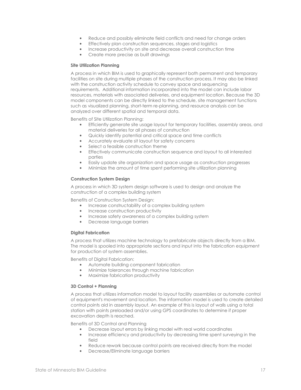- Reduce and possibly eliminate field conflicts and need for change orders
- Effectively plan construction sequences, stages and logistics
- Increase productivity on site and decrease overall construction time
- Create more precise as built drawings

#### Site Utilization Planning

A process in which BIM is used to graphically represent both permanent and temporary facilities on site during multiple phases of the construction process. It may also be linked with the construction activity schedule to convey space and sequencing requirements. Additional information incorporated into the model can include labor resources, materials with associated deliveries, and equipment location. Because the 3D model components can be directly linked to the schedule, site management functions such as visualized planning, short-term re-planning, and resource analysis can be analyzed over different spatial and temporal data.

Benefits of Site Utilization Planning:

- Efficiently generate site usage layout for temporary facilities, assembly areas, and material deliveries for all phases of construction
- Quickly identify potential and critical space and time conflicts
- Accurately evaluate sit layout for safety concerns
- Select a feasible construction theme
- Effectively communicate construction sequence and layout to all interested parties
- Easily update site organization and space usage as construction progresses
- Minimize the amount of time spent performing site utilization planning

#### Construction System Design

A process in which 3D system design software is used to design and analyze the construction of a complex building system

Benefits of Construction System Design:

- Increase constructability of a complex building system
- Increase construction productivity
- Increase safety awareness of a complex building system
- Decrease language barriers

#### Digital Fabrication

A process that utilizes machine technology to prefabricate objects directly from a BIM. The model is spooled into appropriate sections and input into the fabrication equipment for production of system assemblies.

Benefits of Digital Fabrication:

- Automate building component fabrication
- Minimize tolerances through machine fabrication
- Maximize fabrication productivity

#### 3D Control + Planning

A process that utilizes information model to layout facility assemblies or automate control of equipment's movement and location. The information model is used to create detailed control points aid in assembly layout. An example of this is layout of walls using a total station with points preloaded and/or using GPS coordinates to determine if proper excavation depth is reached.

Benefits of 3D Control and Planning

- Decrease layout errors by linking model with real world coordinates
- Increase efficiency and productivity by decreasing time spent surveying in the field
- Reduce rework because control points are received directly from the model
- Decrease/Eliminate language barriers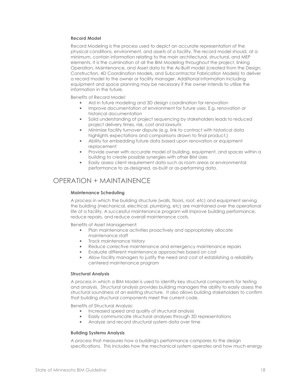#### Record Model

Record Modeling is the process used to depict an accurate representation of the physical conditions, environment, and assets of a facility. The record model should, at a minimum, contain information relating to the main architectural, structural, and MEP elements. It is the culmination of all the BIM Modeling throughout the project, linking Operation, Maintenance, and Asset data to the As-Built model (created from the Design, Construction, 4D Coordination Models, and Subcontractor Fabrication Models) to deliver a record model to the owner or facility manager. Additional information including equipment and space planning may be necessary if the owner intends to utilize the information in the future.

Benefits of Record Model:

- Aid in future modeling and 3D design coordination for renovation
- Improve documentation of environment for future uses. E.g. renovation or historical documentation
- Solid understanding of project sequencing by stakeholders leads to reduced project delivery times, risk, cost and lawsuits
- Minimize facility turnover dispute (e.g. link to contract with historical data highlights expectations and comparisons drawn to final product.)
- Ability for embedding future data based upon renovation or equipment replacement
- Provide owner with accurate model of building, equipment, and spaces within a building to create possible synergies with other BIM Uses
- Easily assess client requirement data such as room areas or environmental performance to as-designed, as-built or as-performing data.

## OPERATION + MAINTAINENCE

#### Maintenance Scheduling

A process in which the building structure (walls, floors, roof, etc) and equipment serving the building (mechanical, electrical, plumbing, etc) are maintained over the operational life of a facility. A successful maintenance program will improve building performance, reduce repairs, and reduce overall maintenance costs.

Benefits of Asset Management:

- Plan maintenance activities proactively and appropriately allocate maintenance staff
- Track maintenance history
- Reduce corrective maintenance and emergency maintenance repairs
- Evaluate different maintenance approaches based on cost
- Allow facility managers to justify the need and cost of establishing a reliability centered maintenance program

#### Structural Analysis

A process in which a BIM Model is used to identify key structural components for testing and analysis. Structural analysis provides building managers the ability to easily assess the structural soundness of an existing structure. It also allows building stakeholders to confirm that building structural components meet the current code.

Benefits of Structural Analysis:

- Increased speed and quality of structural analysis
- Easily communicate structural analyses through 3D representations
- Analyze and record structural system data over time

#### Building Systems Analysis

A process that measures how a building's performance compares to the design specifications. This includes how the mechanical system operates and how much energy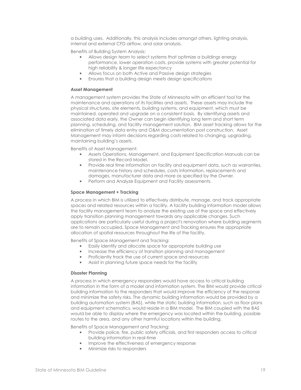a building uses. Additionally, this analysis includes amongst others, lighting analysis, internal and external CFD airflow, and solar analysis.

Benefits of Building System Analysis:

- Allows design team to select systems that optimize a buildings energy performance, lower operation costs, provide systems with greater potential for high reliability & longer life expectancy
- Allows focus on both Active and Passive design strategies
- Ensures that a building design meets design specifications

#### Asset Management

A management system provides the State of Minnesota with an efficient tool for the maintenance and operations of its facilities and assets. These assets may include the physical structures, site elements, building systems, and equipment, which must be maintained, operated and upgrade on a consistent basis. By identifying assets and associated data early, the Owner can begin identifying long term and short term planning, scheduling, and facility management solution. BIM asset tracking allows for the elimination of timely data entry and O&M documentation post construction. Asset Management may inform decisions regarding costs related to changing, upgrading, maintaining building's assets.

Benefits of Asset Management:

- Assets Operations, Management, and Equipment Specification Manuals can be stored in the Record Model.
- Provide real time information on facility and equipment data, such as warranties, maintenance history and schedules, costs information, replacements and damages, manufacturer data and more as specified by the Owner.
- Perform and Analyze Equipment and Facility assessments.

#### Space Management + Tracking

A process in which BIM is utilized to effectively distribute, manage, and track appropriate spaces and related resources within a facility. A facility building information model allows the facility management team to analyze the existing use of the space and effectively apply transition planning management towards any applicable changes. Such applications are particularly useful during a project's renovation where building segments are to remain occupied. Space Management and Tracking ensures the appropriate allocation of spatial resources throughout the life of the facility.

Benefits of Space Management and Tracking:

- Easily identify and allocate space for appropriate building use
- Increase the efficiency of transition planning and management
- Proficiently track the use of current space and resources
- Assist in planning future space needs for the facility

#### Disaster Planning

A process in which emergency responders would have access to critical building information in the form of a model and information system. The BIM would provide critical building information to the responders that would improve the efficiency of the response and minimize the safety risks. The dynamic building information would be provided by a building automation system (BAS), while the static building information, such as floor plans and equipment schematics, would reside in a BIM model. The BIM coupled with the BAS would be able to display where the emergency was located within the building, possible routes to the area, and any other harmful locations within the building.

Benefits of Space Management and Tracking:

- Provide police, fire, public safety officials, and first responders access to critical building information in real-time
- Improve the effectiveness of emergency response
- Minimize risks to responders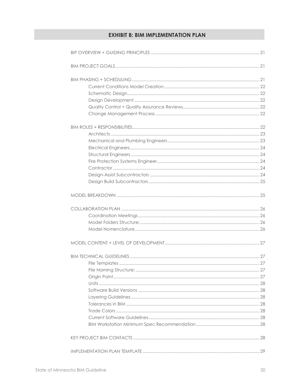## **EXHIBIT B: BIM IMPLEMENTATION PLAN**

| File Naming Structure: |  |
|------------------------|--|
|                        |  |
|                        |  |
|                        |  |
|                        |  |
|                        |  |
|                        |  |
|                        |  |
|                        |  |
|                        |  |
|                        |  |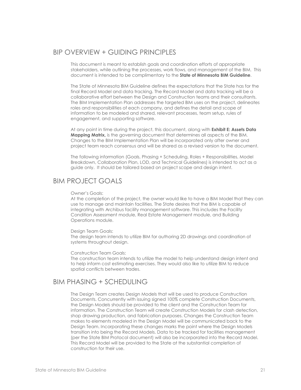## $BIP$  OVERVIEW + GUIDING PRINCIPLES

This document is meant to establish goals and coordination efforts of appropriate stakeholders, while outlining the processes, work flows, and management of the BIM. This document is intended to be complimentary to the State of Minnesota BIM Guideline.

The State of Minnesota BIM Guideline defines the expectations that the State has for the final Record Model and data tracking. The Record Model and data tracking will be a collaborative effort between the Design and Construction teams and their consultants. The BIM Implementation Plan addresses the targeted BIM uses on the project, delineates roles and responsibilities of each company, and defines the detail and scope of information to be modeled and shared, relevant processes, team setup, rules of engagement, and supporting software.

At any point in time during the project, this document, along with Exhibit E: Assets Data Mapping Matrix, is the governing document that determines all aspects of the BIM. Changes to the BIM Implementation Plan will be incorporated only after owner and project team reach consensus and will be shared as a revised version to the document.

The following information (Goals, Phasing + Scheduling, Roles + Responsibilities, Model Breakdown, Collaboration Plan, LOD, and Technical Guidelines) is intended to act as a guide only. It should be tailored based on project scope and design intent.

## BIM PROJECT GOALS

#### Owner's Goals:

At the completion of the project, the owner would like to have a BIM Model that they can use to manage and maintain facilities. The State desires that the BIM is capable of integrating with Archibus facility management software. This includes the Facility Condition Assessment module, Real Estate Management module, and Building Operations module.

#### Design Team Goals:

The design team intends to utilize BIM for authoring 2D drawings and coordination of systems throughout design.

#### Construction Team Goals:

The construction team intends to utilize the model to help understand design intent and to help inform cost estimating exercises. They would also like to utilize BIM to reduce spatial conflicts between trades.

## BIM PHASING + SCHEDULING

The Design Team creates Design Models that will be used to produce Construction Documents. Concurrently with issuing signed 100% complete Construction Documents, the Design Models should be provided to the client and the Construction Team for information. The Construction Team will create Construction Models for clash detection, shop drawing production, and fabrication purposes. Changes the Construction Team makes to elements modeled in the Design Model will be communicated back to the Design Team. Incorporating these changes marks the point where the Design Models transition into being the Record Models. Data to be tracked for facilities management (per the State BIM Protocol document) will also be incorporated into the Record Model. This Record Model will be provided to the State at the substantial completion of construction for their use.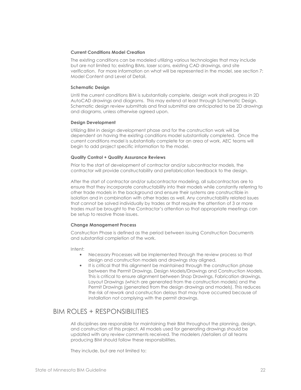#### Current Conditions Model Creation

The existing conditions can be modeled utilizing various technologies that may include but are not limited to; existing BIMs, laser scans, existing CAD drawings, and site verification. For more information on what will be represented in the model, see section 7: Model Content and Level of Detail.

#### Schematic Design

 Until the current conditions BIM is substantially complete, design work shall progress in 2D AutoCAD drawings and diagrams. This may extend at least through Schematic Design. Schematic design review submittals and final submittal are anticipated to be 2D drawings and diagrams, unless otherwise agreed upon.

#### Design Development

Utilizing BIM in design development phase and for the construction work will be dependent on having the existing conditions model substantially completed. Once the current conditions model is substantially complete for an area of work, AEC teams will begin to add project specific information to the model.

#### Quality Control + Quality Assurance Reviews

Prior to the start of development of contractor and/or subcontractor models, the contractor will provide constructability and prefabrication feedback to the design.

After the start of contractor and/or subcontractor modeling, all subcontractors are to ensure that they incorporate constructability into their models while constantly referring to other trade models in the background and ensure their systems are constructible in isolation and in combination with other trades as well. Any constructability related issues that cannot be solved individually by trades or that require the attention of 3 or more trades must be brought to the Contractor's attention so that appropriate meetings can be setup to resolve those issues.

#### Change Management Process

Construction Phase is defined as the period between issuing Construction Documents and substantial completion of the work.

Intent:

- Necessary Processes will be implemented through the review process so that design and construction models and drawings stay aligned.
- It is critical that this alignment be maintained through the construction phase between the Permit Drawings, Design Models/Drawings and Construction Models. This is critical to ensure alignment between Shop Drawings, Fabrication drawings, Layout Drawings (which are generated from the construction models) and the Permit Drawings (generated from the design drawings and models). This reduces the risk of rework and construction delays that may have occurred because of installation not complying with the permit drawings.

## BIM ROLES + RESPONSIBILITIES

All disciplines are responsible for maintaining their BIM throughout the planning, design, and construction of this project. All models used for generating drawings should be updated with any review comments received. The modelers /detailers of all teams producing BIM should follow these responsibilities.

They include, but are not limited to: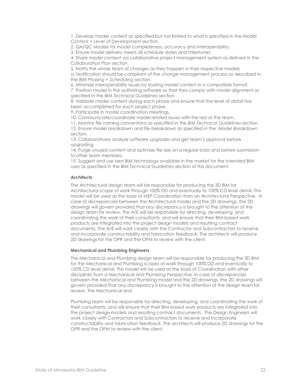1. Develop model content as specified but not limited to what is specified in the Model Content + Level of Development section.

2. QA/QC Models for model completeness, accuracy and interoperability.

3. Ensure model delivery meets all schedule dates and milestones.

4. Share model content via collaborative project management system as defined in the Collaboration Plan section.

5. Notify the whole team of changes as they happen in their respective models

a. Notification should be compliant of the change management process as described in the BIM Phasing + Scheduling section.

6. Minimize interoperability issues by sharing model content in a compatible format.

7. Position model in the authoring software so that they comply with model alignment as specified in the BIM Technical Guidelines section.

8. Validate model content during each phase and ensure that the level of detail has been accomplished for each project phase.

9. Participate in model coordination meetings.

10. Communicate/coordinate model related issues with the rest of the team.

11. Monitor file naming conventions as specified in the BIM Technical Guidelines section. 12. Ensure model breakdown and file breakdown as specified in the Model Breakdown section.

13. Collaboratively analyze software upgrades and get team's approval before upgrading.

14. Purge unused content and optimize file size on a regular basis and before submission to other team members.

15. Suggest and use best BIM technology available in the market for the intended BIM uses as specified in the BIM Technical Guidelines section of this document.

#### **Architects**

The Architectural design team will be responsible for producing the 3D BIM for Architectural scope of work through 100% DD and eventually to 100% CD level detail. This model will be used as the basis of MEP Coordination from an Architectural Perspective. In case of discrepancies between the Architectural model and the 2D drawings, the 2D drawings will govern provided that any discrepancy is brought to the attention of the design team for review. The A/E will be responsible for directing, developing, and coordinating the work of their consultants, and will ensure that their BIM-based work products are integrated into the project design models and resulting contract documents. The A/E will work closely with the Contractor and Subcontractors to receive and incorporate constructability and fabrication feedback. The architects will produce 2D drawings for the OPR and the OPM to review with the client.

#### Mechanical and Plumbing Engineers

 The Mechanical and Plumbing design team will be responsible for producing the 3D BIM for the Mechanical and Plumbing scopes of work through 100% DD and eventually to 100% CD level detail. This model will be used as the basis of Coordination with other disciplines from a Mechanical and Plumbing Perspective. In case of discrepancies between the Mechanical and Plumbing model and the 2D drawings, the 2D drawings will govern provided that any discrepancy is brought to the attention of the design team for review. The Mechanical and

Plumbing team will be responsible for directing, developing, and coordinating the work of their consultants, and will ensure that their BIM-based work products are integrated into the project design models and resulting contract documents. The Design Engineers will work closely with Contractors and Subcontractors to receive and incorporate constructability and fabrication feedback. The architects will produce 2D drawings for the OPR and the OPM to review with the client.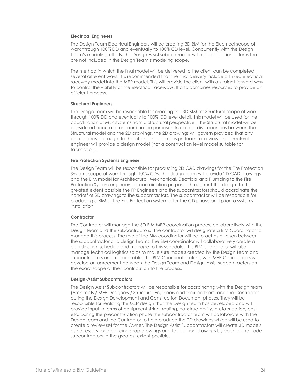#### Electrical Engineers

The Design Team Electrical Engineers will be creating 3D BIM for the Electrical scope of work through 100% DD and eventually to 100% CD level. Concurrently with the Design Team's modeling efforts, the Design Assist subcontractor will model additional items that are not included in the Design Team's modeling scope.

The method in which the final model will be delivered to the client can be completed several different ways. It is recommended that the final delivery include a linked electrical raceway model into the MEP model. This will provide the client with a straight forward way to control the visibility of the electrical raceways. It also combines resources to provide an efficient process.

#### Structural Engineers

The Design Team will be responsible for creating the 3D BIM for Structural scope of work through 100% DD and eventually to 100% CD level detail. This model will be used for the coordination of MEP systems from a Structural perspective. The Structural model will be considered accurate for coordination purposes. In case of discrepancies between the Structural model and the 2D drawings, the 2D drawings will govern provided that any discrepancy is brought to the attention of the design team for review. The structural engineer will provide a design model (not a construction level model suitable for fabrication).

#### Fire Protection Systems Engineer

The Design Team will be responsible for producing 2D CAD drawings for the Fire Protection Systems scope of work through 100% CDs. The design team will provide 2D CAD drawings and the BIM model for Architectural, Mechanical, Electrical and Plumbing to the Fire Protection System engineers for coordination purposes throughout the design. To the greatest extent possible the FP Engineers and the subcontractors should coordinate the handoff of 2D drawings to the subcontractors. The subcontractor will be responsible for producing a BIM of the Fire Protection system after the CD phase and prior to systems installation.

#### **Contractor**

The Contractor will manage the 3D BIM MEP coordination process collaboratively with the Design Team and the subcontractors. The contractor will designate a BIM Coordinator to manage this process. The role of the BIM coordinator will be to act as a liaison between the subcontractor and design teams. The BIM coordinator will collaboratively create a coordination schedule and manage to this schedule. The BIM coordinator will also manage technical logistics so as to make sure models created by the Design Team and subcontractors are interoperable. The BIM Coordinator along with MEP Coordinators will develop an agreement between the Design Team and Design-Assist subcontractors on the exact scope of their contribution to the process.

#### Design-Assist Subcontractors

The Design Assist Subcontractors will be responsible for coordinating with the Design team (Architects / MEP Designers / Structural Engineers and their partners) and the Contractor during the Design Development and Construction Document phases. They will be responsible for realizing the MEP design that the Design team has developed and will provide input in terms of equipment sizing, routing, constructability, prefabrication, cost etc. During the preconstruction phase the subcontractor team will collaborate with the Design team and the Contractor to help produce the 2D drawings which will be used to create a review set for the Owner. The Design Assist Subcontractors will create 3D models as necessary for producing shop drawings and fabrication drawings by each of the trade subcontractors to the greatest extent possible.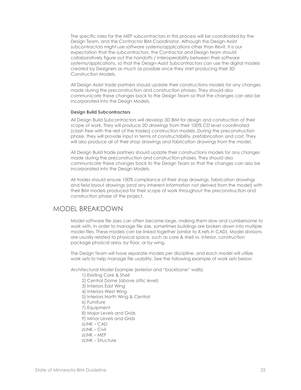The specific roles for the MEP subcontractors in this process will be coordinated by the Design Team, and the Contractor BIM Coordinator. Although the Design-Assist subcontractors might use software systems/applications other than Revit, it is our expectation that the subcontractors, the Contractor and Design team should collaboratively figure out the handoffs / interoperability between their software systems/applications, so that the Design-Assist Subcontractors can use the digital models created by Designers as much as possible once they start producing their 3D Construction Models.

All Design Assist trade partners should update their constructions models for any changes made during the preconstruction and construction phases. They should also communicate these changes back to the Design Team so that the changes can also be incorporated into the Design Models.

#### Design Build Subcontractors

All Design Build Subcontractors will develop 3D BIM for design and construction of their scope of work. They will produce 2D drawings from their 100% CD level coordinated (clash free with the rest of the trades) construction models. During the preconstruction phase, they will provide input in terms of constructability, prefabrication and cost. They will also produce all of their shop drawings and fabrication drawings from the model.

All Design Build trade partners should update their constructions models for any changes made during the preconstruction and construction phases. They should also communicate these changes back to the Design Team so that the changes can also be incorporated into the Design Models.

All trades should ensure 100% compliance of their shop drawings, fabrication drawings and field layout drawings (and any inherent information not derived from the model) with their BIM models produced for their scope of work throughout the preconstruction and construction phase of the project.

## MODEL BREAKDOWN

Model software file sizes can often become large, making them slow and cumbersome to work with. In order to manage file size, sometimes buildings are broken down into multiple model files. These models can be linked together (similar to X-refs in CAD). Model divisions are usually related to physical space, such as core & shell vs. interior, construction package physical area, by floor, or by wing.

The Design Team will have separate models per discipline, and each model will utilize work sets to help manage file usability. See the following example of work sets below:

Architectural Model Example (exterior and "backbone" walls)

1) Existing Core & Shell 2) Central Dome (above attic level) 3) Interiors East Wing 4) Interiors West Wing 5) Interiors North Wing & Central 6) Furniture 7) Equipment 8) Major Levels and Grids 9) Minor Levels and Grids  $7$ LINK – CAD  $z$ LINK – Civil  $7$ LINK – MEP zLINK – Structure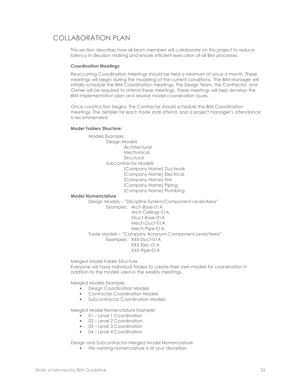## COLLABORATION PLAN

This section describes how all team members will collaborate on this project to reduce latency in decision making and ensure efficient execution of all BIM processes.

#### Coordination Meetings

Reoccurring Coordination Meetings should be held a minimum of once a month. These meetings will begin during the modeling of the current conditions. The BIM Manager will initially schedule the BIM Coordination meetings. The Design Team, the Contractor, and Owner will be required to attend these meetings. These meetings will help develop the BIM Implementation plan and resolve model coordination issues.

Once construction begins, the Contractor should schedule the BIM Coordination meetings. The detailer for each trade shall attend, and a project manager's attendance is recommended.

#### Model Folders Structure:

 Models Example: Design Models **Architectural**  Mechanical Structural Subcontractor Models (Company Name) Ductwork (Company Name) Electrical (Company Name) Fire (Company Name) Piping (Company Name) Plumbing

#### Model Nomenclature

Design Models – "Discipline-System/Component-Level/Area"

 Examples: Arch-Base-01A Arch-Ceilings-01A Struct-Base-01A Mech-Duct-01A Mech-Pipe-01A Trade Models – "Company Acronym-Component-Level/Area" Examples: XXX-Duct-01A XXX-Elec-01A XXX-Pipe-01A

Merged Model Folder Structure Everyone will have individual folders to create their own models for coordination in addition to the models used in the weekly meetings.

Merged Models Example:

- Design Coordination Models
- Contractor Coordination Models
- Subcontractor Coordination Models

Merged Model Nomenclature Example:

- 01 Level 1 Coordination
- 02 Level 2 Coordination
- 03 Level 3 Coordination
- 04 Level 4 Coordination

Design and Subcontractor Merged Model Nomenclature

• File naming nomenclature is at your discretion.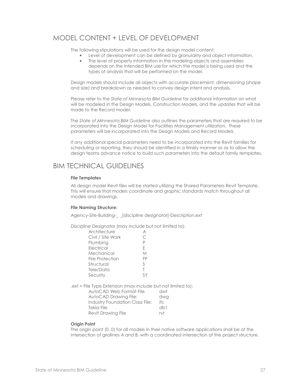## MODEL CONTENT + LEVEL OF DEVELOPMENT

The following stipulations will be used for the design model content:

- Level of development can be defined by granularity and object information.
- The level of property information in the modeling objects and assemblies depends on the intended BIM use for which the model is being used and the types of analysis that will be performed on the model.

Design models should include all objects with accurate placement, dimensioning (shape and size) and breakdown as needed to convey design intent and analysis.

Please refer to the State of Minnesota BIM Guideline for additional information on what will be modeled in the Design Models, Construction Models, and the updates that will be made to the Record model.

The State of Minnesota BIM Guideline also outlines the parameters that are required to be incorporated into the Design Model for Facilities Management utilization. These parameters will be incorporated into the Design Models and Record Models.

If any additional special parameters need to be incorporated into the Revit families for scheduling or reporting, they should be identified in a timely manner so as to allow the design teams advance notice to build such parameters into the default family templates.

## BIM TECHNICAL GUIDELINES

#### File Templates

All design model Revit files will be started utilizing the Shared Parameters Revit Template. This will ensure that models coordinate and graphic standards match throughout all models and drawings.

#### File Naming Structure:

Agency-Site-Building-\_ \_[discipline designator]-Description.ext

Discipline Designator (may include but not limited to):

| Architecture      |    |
|-------------------|----|
| Civil / Site Work |    |
| Plumbing          | P  |
| Electrical        | F  |
| Mechanical        | М  |
| Fire Protection   | FP |
| Structural        | S  |
| Tele/Data         | Τ  |
| Security          |    |
|                   |    |

.ext = File Type Extension (may include but not limited to):

| AutoCAD Web Format File         | dwf  |
|---------------------------------|------|
| AutoCAD Drawing File:           | dwg  |
| Industry Foundation Class File: | ifc. |
| Tekla File                      | dh1  |
| <b>Revit Drawing File</b>       | rvt  |

#### **Origin Point**

The origin point (0, 0) for all models in their native software applications shall be at the intersection of gridlines A and B, with a coordinated intersection of the project structure.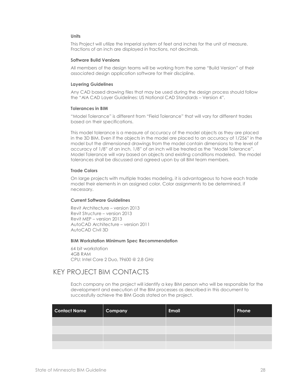#### Units

This Project will utilize the Imperial system of feet and inches for the unit of measure. Fractions of an inch are displayed in fractions, not decimals.

#### Software Build Versions

All members of the design teams will be working from the same "Build Version" of their associated design application software for their discipline.

#### Layering Guidelines

Any CAD based drawing files that may be used during the design process should follow the "AIA CAD Layer Guidelines: US National CAD Standards – Version 4".

#### Tolerances in BIM

 "Model Tolerance" is different from "Field Tolerance" that will vary for different trades based on their specifications.

This model tolerance is a measure of accuracy of the model objects as they are placed in the 3D BIM. Even if the objects in the model are placed to an accuracy of 1/256" in the model but the dimensioned drawings from the model contain dimensions to the level of accuracy of 1/8" of an inch, 1/8" of an inch will be treated as the "Model Tolerance". Model Tolerance will vary based on objects and existing conditions modeled. The model tolerances shall be discussed and agreed upon by all BIM team members.

#### Trade Colors

On large projects with multiple trades modeling, it is advantageous to have each trade model their elements in an assigned color. Color assignments to be determined, if necessary.

#### Current Software Guidelines

Revit Architecture – version 2013 Revit Structure – version 2013 Revit MEP – version 2013 AutoCAD Architecture – version 2011 AutoCAD Civil 3D

#### BIM Workstation Minimum Spec Recommendation

64 bit workstation 4GB RAM CPU: Intel Core 2 Duo, T9600 @ 2.8 GHz

## KEY PROJECT BIM CONTACTS

Each company on the project will identify a key BIM person who will be responsible for the development and execution of the BIM processes as described in this document to successfully achieve the BIM Goals stated on the project.

| <b>Contact Name</b> | Company | <b>Email</b> | Phone |
|---------------------|---------|--------------|-------|
|                     |         |              |       |
|                     |         |              |       |
|                     |         |              |       |
|                     |         |              |       |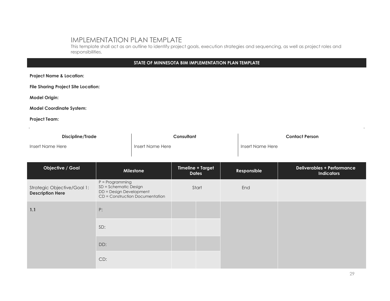## IMPLEMENTATION PLAN TEMPLATE

 This template shall act as an outline to identify project goals, execution strategies and sequencing, as well as project roles and responsibilities.

## STATE OF MINNESOTA BIM IMPLEMENTATION PLAN TEMPLATE

| <b>Project Name &amp; Location:</b>                    |                                                                                                          |  |                                          |                  |  |                       |                                                        |  |  |  |  |
|--------------------------------------------------------|----------------------------------------------------------------------------------------------------------|--|------------------------------------------|------------------|--|-----------------------|--------------------------------------------------------|--|--|--|--|
| <b>File Sharing Project Site Location:</b>             |                                                                                                          |  |                                          |                  |  |                       |                                                        |  |  |  |  |
| <b>Model Origin:</b>                                   |                                                                                                          |  |                                          |                  |  |                       |                                                        |  |  |  |  |
| <b>Model Coordinate System:</b>                        |                                                                                                          |  |                                          |                  |  |                       |                                                        |  |  |  |  |
| <b>Project Team:</b>                                   |                                                                                                          |  |                                          |                  |  |                       |                                                        |  |  |  |  |
| <b>Discipline/Trade</b>                                |                                                                                                          |  |                                          | Consultant       |  | <b>Contact Person</b> |                                                        |  |  |  |  |
| Insert Name Here                                       | Insert Name Here                                                                                         |  |                                          | Insert Name Here |  |                       |                                                        |  |  |  |  |
| <b>Objective / Goal</b>                                | Milestone                                                                                                |  | <b>Timeline + Target</b><br><b>Dates</b> |                  |  | Responsible           | <b>Deliverables + Performance</b><br><b>Indicators</b> |  |  |  |  |
| Strategic Objective/Goal 1:<br><b>Description Here</b> | $P = Programming$<br>SD = Schematic Design<br>DD = Design Development<br>CD = Construction Documentation |  | Start                                    |                  |  | End                   |                                                        |  |  |  |  |
| 1.1                                                    | P:                                                                                                       |  |                                          |                  |  |                       |                                                        |  |  |  |  |
|                                                        | SD:                                                                                                      |  |                                          |                  |  |                       |                                                        |  |  |  |  |
|                                                        | DD:                                                                                                      |  |                                          |                  |  |                       |                                                        |  |  |  |  |
|                                                        | CD:                                                                                                      |  |                                          |                  |  |                       |                                                        |  |  |  |  |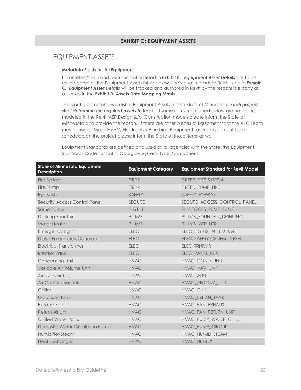#### EXHIBIT C: EQUIPMENT ASSETS

## EQUIPMENT ASSETS

#### Metadata Fields for All Equipment

Parameters/fields and documentation listed in *Exhibit C: Equipment Asset Details* are to be collected on all the Equipment Assets listed below. Individual metadata fields listed in **Exhibit** C: Equipment Asset Details will be tracked and authored in Revit by the responsible party as assigned in the Exhibit D: Assets Data Mapping Matrix.

This is not a comprehensive list of Equipment Assets for the State of Minnesota. Each project shall determine the required assets to track. If some items mentioned below are not being modeled in the Revit MEP Design &/or Construction models please inform the State of Minnesota and provide the reason. If there are other pieces of Equipment that the AEC Team may consider 'Major HVAC, Electrical or Plumbing Equipment' or are equipment being scheduled on the project please inform the State of those items as well.

Equipment Standards are defined and used by all agencies with the State, the Equipment Standards Code Format is, Category\_System\_Type\_Component

| <b>State of Minnesota Equipment</b><br><b>Description</b> | <b>Equipment Category</b> | <b>Equipment Standard for Revit Model</b> |
|-----------------------------------------------------------|---------------------------|-------------------------------------------|
| Fire System                                               | <b>FIRPR</b>              | FIREPR_FIRE_SYSTEM                        |
| Fire Pump                                                 | <b>FIRPR</b>              | FIREPR_PUMP_FIRE                          |
| Eyewash                                                   | <b>SAFETY</b>             | SAFETY EYEWAS                             |
| <b>Security Access Control Panel</b>                      | <b>SECURE</b>             | SECURE_ACCESS_CONTROL_PANEL               |
| Sump Pump                                                 | <b>PHYPLT</b>             | PHY TOOLS PUMP SUMP                       |
| Drinking Fountain                                         | <b>PLUMB</b>              | PLUMB FOUNTAIN DRINKING                   |
| <b>Water Heater</b>                                       | <b>PLUMB</b>              | PLUMB WTR HTR                             |
| <b>Emergency Light</b>                                    | <b>ELEC</b>               | ELEC_LIGHTS_INT_EMERGE                    |
| <b>Diesel Emergency Generator</b>                         | <b>ELEC</b>               | ELEC_SAFETY-GENEM_DIESEL                  |
| <b>Electrical Transformer</b>                             | <b>ELEC</b>               | ELEC_TRNFMR                               |
| <b>Breaker Panel</b>                                      | <b>ELEC</b>               | ELEC_PANEL_BRK                            |
| Condensing Unit                                           | <b>HVAC</b>               | HVAC COND UNIT                            |
| Variable Air Volume Unit                                  | <b>HVAC</b>               | HVAC_VAV_UNIT                             |
| Air Handler Unit                                          | <b>HVAC</b>               | HVAC AHU                                  |
| Air Compressor Unit                                       | <b>HVAC</b>               | HVAC_AIRCOM_UNIT                          |
| Chiller                                                   | <b>HVAC</b>               | HVAC_CHILL                                |
| <b>Expansion Tank</b>                                     | <b>HVAC</b>               | HVAC EXPAN TANK                           |
| Exhaust Fan                                               | <b>HVAC</b>               | HVAC_FAN_EXHAUS                           |
| Return Air Unit                                           | <b>HVAC</b>               | HVAC FAN RETURN UNIT                      |
| <b>Chilled Water Pump</b>                                 | <b>HVAC</b>               | HVAC_PUMP_WATER_CHILL                     |
| Domestic Water Circulation Pump                           | <b>HVAC</b>               | HVAC PUMP CIRCUL                          |
| Humidifier-Steam                                          | <b>HVAC</b>               | HVAC_HUMID_STEAM                          |
| <b>Heat Exchanger</b>                                     | <b>HVAC</b>               | HVAC_HEATEX                               |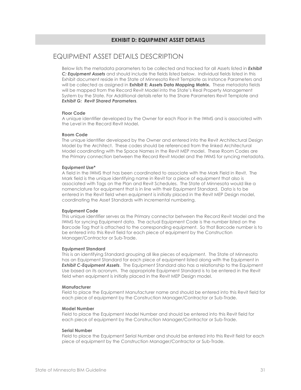## EQUIPMENT ASSET DETAILS DESCRIPTION

Below lists the metadata parameters to be collected and tracked for all Assets listed in **Exhibit** C: Equipment Assets and should include the fields listed below. Individual fields listed in this Exhibit document reside in the State of Minnesota Revit Template as Instance Parameters and will be collected as assigned in **Exhibit E: Assets Data Mapping Matrix.** These metadata fields will be mapped from the Record Revit Model into the State's Real Property Management System by the State. For Additional details refer to the Share Parameters Revit Template and Exhibit G: Revit Shared Parameters.

#### Floor Code

A unique identifier developed by the Owner for each Floor in the IWMS and is associated with the Level in the Record Revit Model.

#### Room Code

The unique identifier developed by the Owner and entered into the Revit Architectural Design Model by the Architect. These codes should be referenced from the linked Architectural Model coordinating with the Space Names in the Revit MEP model. These Room Codes are the Primary connection between the Record Revit Model and the IWMS for syncing metadata.

#### Equipment Use\*

A field in the IWMS that has been coordinated to associate with the Mark Field in Revit. The Mark field is the unique identifying name in Revit for a piece of equipment that also is associated with Tags on the Plan and Revit Schedules. The State of Minnesota would like a nomenclature for equipment that is in line with their Equipment Standard. Data is to be entered in the Revit field when equipment is initially placed in the Revit MEP Design model, coordinating the Asset Standards with incremental numbering.

#### Equipment Code

This unique identifier serves as the Primary connector between the Record Revit Model and the IWMS for syncing Equipment data. The actual Equipment Code is the number listed on the Barcode Tag that is attached to the corresponding equipment. So that Barcode number is to be entered into this Revit field for each piece of equipment by the Construction Manager/Contractor or Sub-Trade.

#### Equipment Standard

This is an identifying Standard grouping all like pieces of equipment. The State of Minnesota has an Equipment Standard for each piece of equipment listed along with the Equipment in **Exhibit C-Equipment Assets**. The Equipment Standard also has a relationship to the Equipment Use based on its acronym. The appropriate Equipment Standard is to be entered in the Revit field when equipment is initially placed in the Revit MEP Design model.

#### **Manufacturer**

Field to place the Equipment Manufacturer name and should be entered into this Revit field for each piece of equipment by the Construction Manager/Contractor or Sub-Trade.

#### Model Number

Field to place the Equipment Model Number and should be entered into this Revit field for each piece of equipment by the Construction Manager/Contractor or Sub-Trade.

#### Serial Number

Field to place the Equipment Serial Number and should be entered into this Revit field for each piece of equipment by the Construction Manager/Contractor or Sub-Trade.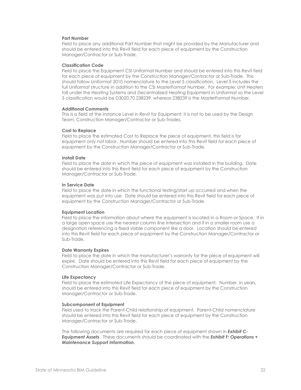#### Part Number

Field to place any additional Part Number that might be provided by the Manufacturer and should be entered into this Revit field for each piece of equipment by the Construction Manager/Contractor or Sub-Trade.

#### Classification Code

Field to place the Equipment CSI Uniformat Number and should be entered into this Revit field for each piece of equipment by the Construction Manager/Contractor or Sub-Trade. This should follow Uniformat 2010 nomenclature to the Level 5 classification. Level 5 includes the full Uniformat structure in addition to the CSI MasterFormat Number. For example: Unit Heaters fall under the Heating Systems and Decentralized Heating Equipment in Uniformat so the Level 5 classification would be D3020.70.238239, whereas 238239 is the MasterFormat Number.

#### Additional Comments

This is a field at the Instance Level in Revit for Equipment; it is not to be used by the Design Team, Construction Manager/Contractor or Sub-Trades.

#### Cost to Replace

Field to place the estimated Cost to Replace the piece of equipment, this field is for equipment only not labor. Number should be entered into this Revit field for each piece of equipment by the Construction Manager/Contractor or Sub-Trade.

#### Install Date

Field to place the date in which the piece of equipment was installed in the building. Date should be entered into this Revit field for each piece of equipment by the Construction Manager/Contractor or Sub-Trade.

#### In Service Date

Field to place the date in which the functional testing/start up occurred and when the equipment was put into use. Date should be entered into this Revit field for each piece of equipment by the Construction Manager/Contractor or Sub-Trade.

#### Equipment Location

Field to place the information about where the equipment is located in a Room or Space. If in a large open space use the nearest column line intersection and if in a smaller room use a designation referencing a fixed visible component like a door. Location should be entered into this Revit field for each piece of equipment by the Construction Manager/Contractor or Sub-Trade.

#### Date Warranty Expires

Field to place the date in which the manufacturer's warranty for the piece of equipment will expire. Date should be entered into this Revit field for each piece of equipment by the Construction Manager/Contractor or Sub-Trade.

#### Life Expectancy

Field to place the estimated Life Expectancy of the piece of equipment. Number, in years, should be entered into this Revit field for each piece of equipment by the Construction Manager/Contractor or Sub-Trade.

#### Subcomponent of Equipment

Field used to track the Parent-Child relationship of equipment. Parent-Child nomenclature should be entered into this Revit field for each piece of equipment by the Construction Manager/Contractor or Sub-Trade.

The following documents are required for each piece of equipment shown in **Exhibit C-**Equipment Assets. These documents should be coordinated with the Exhibit F: Operations + Maintenance Support Information.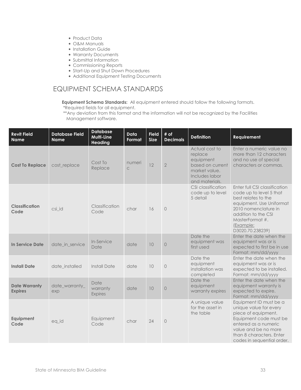- Product Data
- O&M Manuals
- Installation Guide
- Warranty Documents
- Submittal Information
- Commissioning Reports
- Start-Up and Shut Down Procedures
- Additional Equipment Testing Documents

## EQUIPMENT SCHEMA STANDARDS

Equipment Schema Standards: All equipment entered should follow the following formats.

\*Required fields for all equipment.

 \*\*Any deviation from this format and the information will not be recognized by the Facilities Management software.

| <b>Revit Field</b><br><b>Name</b>      | <b>Database Field</b><br><b>Name</b> | <b>Database</b><br># of<br>Data<br><b>Field</b><br>Multi-Line<br><b>Size</b><br><b>Decimals</b><br>Format<br><b>Heading</b> |                        | <b>Definition</b> | <b>Requirement</b> |                                                                                                                 |                                                                                                                                                                                                                |
|----------------------------------------|--------------------------------------|-----------------------------------------------------------------------------------------------------------------------------|------------------------|-------------------|--------------------|-----------------------------------------------------------------------------------------------------------------|----------------------------------------------------------------------------------------------------------------------------------------------------------------------------------------------------------------|
| <b>Cost To Replace</b>                 | cost_replace                         | Cost To<br>Replace                                                                                                          | numeri<br>$\mathsf{C}$ | 12                | $\overline{2}$     | Actual cost to<br>replace<br>equipment<br>based on current<br>market value.<br>Includes labor<br>and materials. | Enter a numeric value no<br>more than 12 characters<br>and no use of special<br>characters or commas.                                                                                                          |
| <b>Classification</b><br>Code          | csi id                               | Classification<br>Code                                                                                                      | char                   | 16                | $\bigcirc$         | CSI classification<br>code up to level<br>5 detail                                                              | Enter full CSI classification<br>code up to level 5 that<br>best relates to the<br>equipment. Use Uniformat<br>2010 nomenclature in<br>addition to the CSI<br>MasterFormat #.<br>(Example:<br>D3020.70.238239) |
| In Service Date                        | date_in_service                      | In-Service<br>Date                                                                                                          | date                   | 10                | $\circ$            | Date the<br>equipment was<br>first used                                                                         | Enter the date when the<br>equipment was or is<br>expected to first be in use<br>Format: mm/dd/yyyy                                                                                                            |
| <b>Install Date</b>                    | date_installed                       | <b>Install Date</b>                                                                                                         | date                   | 10                | $\circledcirc$     | Date the<br>equipment<br>installation was<br>completed                                                          | Enter the date when the<br>equipment was or is<br>expected to be installed.<br>Format: mm/dd/yyyy                                                                                                              |
| <b>Date Warranty</b><br><b>Expires</b> | date_warranty_<br>exp                | Date<br>warranty<br><b>Expires</b>                                                                                          | date                   | 10                | $\circ$            | Date the<br>equipment<br>warranty expires                                                                       | Enter the date when the<br>equipment warranty is<br>expected to expire.<br>Format: mm/dd/yyyy                                                                                                                  |
| Equipment<br>Code                      | eq_id                                | Equipment<br>Code                                                                                                           | char                   | 24                | $\circledcirc$     | A unique value<br>for the asset in<br>the table                                                                 | Equipment ID must be a<br>unique value for every<br>piece of equipment.<br>Equipment code must be<br>entered as a numeric<br>value and be no more<br>than 8 characters. Enter<br>codes in sequential order.    |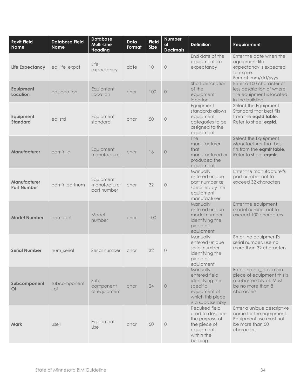| <b>Revit Field</b><br><b>Name</b>  | Database Field<br><b>Name</b>               | <b>Database</b><br>Multi-Line<br><b>Heading</b> | <b>Data</b><br>Format | <b>Field</b><br><b>Size</b> | <b>Number</b><br>of<br><b>Decimals</b> | <b>Definition</b>                                                                                                | Requirement                                                                                                        |
|------------------------------------|---------------------------------------------|-------------------------------------------------|-----------------------|-----------------------------|----------------------------------------|------------------------------------------------------------------------------------------------------------------|--------------------------------------------------------------------------------------------------------------------|
| <b>Life Expectancy</b>             | eq_life_expct                               | Life<br>expectancy                              | date                  | 10                          | $\circ$                                | End date of the<br>equipment life<br>expectancy                                                                  | Enter the date when the<br>equipment life<br>expectancy is expected<br>to expire.<br>Format: mm/dd/yyyy            |
| Equipment<br>Location              | eq_location                                 | Equipment<br>Location                           | char                  | 100                         | $\circ$                                | Short description<br>of the<br>equipment<br>location                                                             | Enter a 100 character or<br>less description of where<br>the equipment is located<br>in the building               |
| Equipment<br><b>Standard</b>       | eq_std                                      | Equipment<br>standard                           | char                  | 50                          | $\circ$                                | Equipment<br>standards allows<br>equipment<br>categories to be<br>assigned to the<br>equipment                   | Select the Equipment<br>Standard that best fits<br>from the eqstd table.<br>Refer to sheet eqstd.                  |
| Manufacturer                       | eqmfr_id                                    | Equipment<br>manufacturer                       | char                  | 16                          | $\circ$                                | <b>The</b><br>manufacturer<br>that<br>manufactured or<br>produced the<br>equipment.                              | Select the Equipment<br>Manufacturer that best<br>fits from the eqmfr table.<br>Refer to sheet eqmfr.              |
| Manufacturer<br><b>Part Number</b> | eqmfr_partnum                               | Equipment<br>manufacturer<br>part number        | char                  | 32                          | $\Omega$                               | Manually<br>entered unique<br>part number as<br>specified by the<br>equipment<br>manufacturer                    | Enter the manufacturer's<br>part number not to<br>exceed 32 characters                                             |
| <b>Model Number</b>                | eqmodel                                     | Model<br>number                                 | char                  | 100                         |                                        | Manually<br>entered unique<br>model number<br>identifying the<br>piece of<br>equipment                           | Enter the equipment<br>model number not to<br>exceed 100 characters                                                |
| <b>Serial Number</b>               | num_serial                                  | Serial number                                   | char                  | 32                          | $\Omega$                               | Manually<br>entered unique<br>serial number<br>identifying the<br>piece of<br>equipment                          | Enter the equipment's<br>serial number. use no<br>more than 32 characters                                          |
| Subcomponent<br>Of                 | subcomponent<br>$\overline{\phantom{a}}$ of | $Sub-$<br>component<br>of equipment             | char                  | 24                          | $\circ$                                | Manually<br>entered field<br>identifying the<br>specific<br>equipment of<br>which this piece<br>is a subassembly | Enter the eq_id of main<br>piece of equipment this is<br>a subassembly of. Must<br>be no more than 8<br>characters |
| <b>Mark</b>                        | usel                                        | Equipment<br>Use                                | char                  | 50                          | $\circ$                                | Required field<br>used to describe<br>the purpose of<br>the piece of<br>equipment<br>within the<br>building      | Enter a unique descriptive<br>name for the equipment.<br>Equipment use must not<br>be more than 50<br>characters   |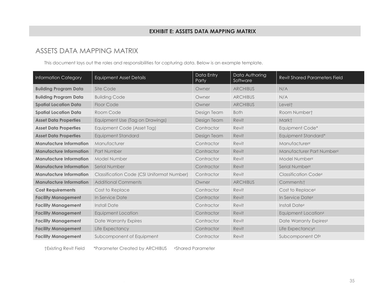## ASSETS DATA MAPPING MATRIX

This document lays out the roles and responsibilities for capturing data. Below is an example template.

| <b>Information Category</b>    | <b>Equipment Asset Details</b>                    | Data Entry<br>Party | Data Authoring<br>Software | <b>Revit Shared Parameters Field</b> |
|--------------------------------|---------------------------------------------------|---------------------|----------------------------|--------------------------------------|
| <b>Building Program Data</b>   | Site Code                                         | Owner               | <b>ARCHIBUS</b>            | N/A                                  |
| <b>Building Program Data</b>   | <b>Building Code</b>                              | Owner               | <b>ARCHIBUS</b>            | N/A                                  |
| <b>Spatial Location Data</b>   | Floor Code                                        | Owner               | <b>ARCHIBUS</b>            | Levelt                               |
| <b>Spatial Location Data</b>   | Room Code                                         | Design Team         | <b>Both</b>                | Room Numbert                         |
| <b>Asset Data Properties</b>   | Equipment Use (Tag on Drawings)                   | Design Team         | Revit                      | Markt                                |
| <b>Asset Data Properties</b>   | Equipment Code (Asset Tag)                        | Contractor          | Revit                      | Equipment Code*                      |
| <b>Asset Data Properties</b>   | <b>Equipment Standard</b>                         | Design Team         | Revit                      | Equipment Standard*                  |
| <b>Manufacture Information</b> | Manufacturer                                      | Contractor          | Revit                      | Manufacturerz                        |
| <b>Manufacture Information</b> | Part Number                                       | Contractor          | Revit                      | Manufacturer Part Numberz            |
| <b>Manufacture Information</b> | Model Number                                      | Contractor          | Revit                      | Model Numberz                        |
| <b>Manufacture Information</b> | Serial Number                                     | Contractor          | Revit                      | Serial Numberz                       |
| <b>Manufacture Information</b> | <b>Classification Code (CSI Uniformat Number)</b> | Contractor          | Revit                      | Classification Codez                 |
| <b>Manufacture Information</b> | <b>Additional Comments</b>                        | Owner               | <b>ARCHIBUS</b>            | Comments†                            |
| <b>Cost Requirements</b>       | Cost to Replace                                   | Contractor          | Revit                      | Cost to Replacez                     |
| <b>Facility Management</b>     | In Service Date                                   | Contractor          | Revit                      | In Service Datez                     |
| <b>Facility Management</b>     | <b>Install Date</b>                               | Contractor          | Revit                      | <b>Install Datez</b>                 |
| <b>Facility Management</b>     | <b>Equipment Location</b>                         | Contractor          | Revit                      | Equipment Location <sup>z</sup>      |
| <b>Facility Management</b>     | Date Warranty Expires                             | Contractor          | Revit                      | Date Warranty Expiresz               |
| <b>Facility Management</b>     | Life Expectancy                                   | Contractor          | Revit                      | Life Expectancyz                     |
| <b>Facility Management</b>     | Subcomponent of Equipment                         | Contractor          | Revit                      | Subcomponent Ofz                     |

†Existing Revit Field \*Parameter Created by ARCHIBUS ᶻShared Parameter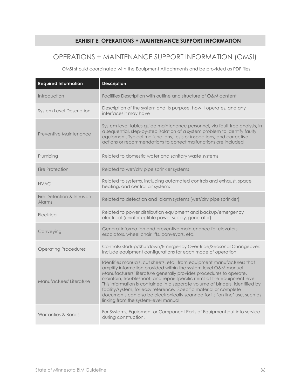## EXHIBIT E: OPERATIONS + MAINTENANCE SUPPORT INFORMATION

## OPERATIONS + MAINTENANCE SUPPORT INFORMATION (OMSI)

OMSI should coordinated with the Equipment Attachments and be provided as PDF files.

| <b>Required Information</b>                 | <b>Description</b>                                                                                                                                                                                                                                                                                                                                                                                                                                                                                                                                                           |
|---------------------------------------------|------------------------------------------------------------------------------------------------------------------------------------------------------------------------------------------------------------------------------------------------------------------------------------------------------------------------------------------------------------------------------------------------------------------------------------------------------------------------------------------------------------------------------------------------------------------------------|
| Introduction                                | Facilities Description with outline and structure of O&M content                                                                                                                                                                                                                                                                                                                                                                                                                                                                                                             |
| <b>System Level Description</b>             | Description of the system and its purpose, how it operates, and any<br>interfaces it may have                                                                                                                                                                                                                                                                                                                                                                                                                                                                                |
| Preventive Maintenance                      | System-level tables guide maintenance personnel, via fault tree analysis, in<br>a sequential, step-by-step isolation of a system problem to identify faulty<br>equipment. Typical malfunctions, tests or inspections, and corrective<br>actions or recommendations to correct malfunctions are included                                                                                                                                                                                                                                                                      |
| Plumbing                                    | Related to domestic water and sanitary waste systems                                                                                                                                                                                                                                                                                                                                                                                                                                                                                                                         |
| <b>Fire Protection</b>                      | Related to wet/dry pipe sprinkler systems                                                                                                                                                                                                                                                                                                                                                                                                                                                                                                                                    |
| <b>HVAC</b>                                 | Related to systems, including automated controls and exhaust, space<br>heating, and central air systems                                                                                                                                                                                                                                                                                                                                                                                                                                                                      |
| Fire Detection & Intrusion<br><b>Alarms</b> | Related to detection and alarm systems (wet/dry pipe sprinkler)                                                                                                                                                                                                                                                                                                                                                                                                                                                                                                              |
| Electrical                                  | Related to power distribution equipment and backup/emergency<br>electrical (uninterruptible power supply, generator)                                                                                                                                                                                                                                                                                                                                                                                                                                                         |
| Conveying                                   | General information and preventive maintenance for elevators,<br>escalators, wheel chair lifts, conveyors, etc.                                                                                                                                                                                                                                                                                                                                                                                                                                                              |
| <b>Operating Procedures</b>                 | Controls/Startup/Shutdown/Emergency Over-Ride/Seasonal Changeover:<br>Include equipment configurations for each mode of operation                                                                                                                                                                                                                                                                                                                                                                                                                                            |
| Manufactures' Literature                    | Identifies manuals, cut sheets, etc., from equipment manufacturers that<br>amplify information provided within the system-level O&M manual.<br>Manufacturers' literature generally provides procedures to operate,<br>maintain, troubleshoot, and repair specific items at the equipment level.<br>This information is contained in a separate volume of binders, identified by<br>facility/system, for easy reference. Specific material or complete<br>documents can also be electronically scanned for its 'on-line' use, such as<br>linking from the system-level manual |
| Warranties & Bonds                          | For Systems, Equipment or Component Parts of Equipment put into service<br>during construction.                                                                                                                                                                                                                                                                                                                                                                                                                                                                              |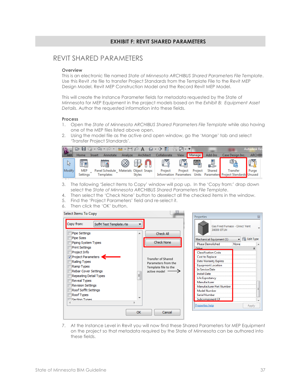#### EXHIBIT F: REVIT SHARED PARAMETERS

## REVIT SHARED PARAMETERS

#### **Overview**

This is an electronic file named State of Minnesota ARCHIBUS Shared Parameters File Template. Use this Revit .rte file to transfer Project Standards from the Template File to the Revit MEP Design Model, Revit MEP Construction Model and the Record Revit MEP Model.

This will create the Instance Parameter fields for metadata requested by the State of Minnesota for MEP Equipment in the project models based on the Exhibit B: Equipment Asset Details. Author the requested information into these fields.

#### Process

- 1. Open the State of Minnesota ARCHIBUS Shared Parameters File Template while also having one of the MEP files listed above open.
- 2. Using the model file as the active and open window, go the 'Mange' tab and select 'Transfer Project Standards'.

|            | ы<br>$\triangleright$ |        | $-5 - 6 -$                                         | $A \circ A$ |               |           |             |             |         |          |                                                                              | <b>Autodesk Rev</b> |  |
|------------|-----------------------|--------|----------------------------------------------------|-------------|---------------|-----------|-------------|-------------|---------|----------|------------------------------------------------------------------------------|---------------------|--|
| <b>MEP</b> | Home                  | Insert | Annotate                                           | Analyze     |               | Architect | Collaborate | <b>View</b> | Manage  | Add-Ins  | Case Design Inc.                                                             | <b>ARCHIBI</b>      |  |
|            | <u>Ye</u>             |        | <b>THE</b>                                         | ⊛           |               |           | <b>to</b>   |             | 으입      | <u>U</u> | 噪                                                                            |                     |  |
| Modify     | MEP<br>Settings       |        | Panel Schedule Materials Object Snaps<br>Templates |             | <b>Styles</b> |           | Project     | Project     | Project | Shared   | Transfer<br>Information Parameters Units Parameters Project Standards Unused | Purge               |  |
|            |                       |        |                                                    |             |               |           |             |             |         |          |                                                                              |                     |  |

- 3. The following 'Select Items to Copy' window will pop up. In the 'Copy from:' drop down select the State of Minnesota ARCHIBUS Shared Parameters File Template.
- 4. Then select the 'Check None' button to deselect all the checked items in the window.
- 5. Find the 'Project Parameters' field and re-select it.
- 6. Then click the 'OK' button.



7. At the Instance Level in Revit you will now find these Shared Parameters for MEP Equipment on the project so that metadata required by the State of Minnesota can be authored into these fields.